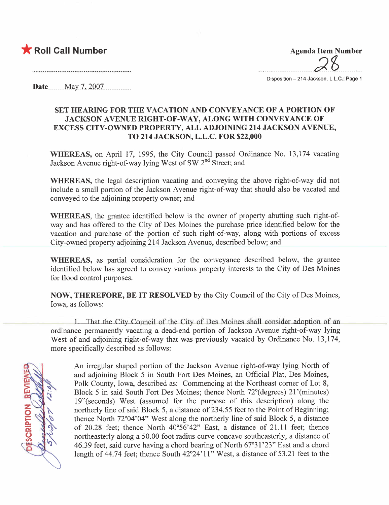

 $\alpha$ 

Disposition - 214 Jackson, L.L.C.: Page 1

Date \_\_\_\_\_ May 7, 2007

#### SET HEARING FOR THE VACATION AND CONVEYANCE OF A PORTION OF JACKSON AVENUE RIGHT-OF-WAY, ALONG WITH CONVEYANCE OF EXCESS CITY-OWNED PROPERTY, ALL ADJOINING 214 JACKSON AVENUE, TO 214 JACKSON, L.L.c. FOR \$22,000

WHEREAS, on April 17, 1995, the City Council passed Ordinance No. 13,174 vacating Jackson Avenue right-of-way lying West of SW 2<sup>nd</sup> Street; and

WHEREAS, the legal description vacating and conveying the above right-of-way did not include a small portion of the Jackson Avenue right-of-way that should also be vacated and conveyed to the adjoining property owner; and

WHEREAS, the grantee identified below is the owner of property abutting such right-ofway and has offered to the City of Des Moines the purchase price identified below for the vacation and purchase of the portion of such right-of-way, along with portions of excess City-owned property adjoining 214 Jackson Avenue, described below; and

WHEREAS, as partial consideration for the conveyance described below, the grantee identified below has agreed to convey various property interests to the City of Des Moines for flood control purposes.

NOW, THEREFORE, BE IT RESOLVED by the City Council of the City of Des Moines, Iowa, as follows:

1. That the City Council of the City of Des Moines shall consider adoption of an ordinance permanently vacating a dead-end portion of Jackson Avenue right-of-way lying West of and adjoining right-of-way that was previously vacated by Ordinance No. 13,174, more specifically described as follows:

SCRIPTION

An irregular shaped portion of the Jackson Avenue right-of-way lying North of and adjoining Block 5 in South Fort Des Moines, an Official Plat, Des Moines, Polk County, Iowa, described as: Commencing at the Northeast comer of Lot 8, Block 5 in said South Fort Des Moines; thence North 72°(degrees) 21 '(minutes) 19"(seconds) West (assumed for the purpose of this description) along the northerly line of said Block 5, a distance of 234.55 feet to the Point of Beginning; thence North 72°04'04" West along the northerly line of said Block 5, a distance of 20.28 feet; thence North 40°56'42" East, a distance of 21.11 feet; thence northeasterly along a 50.00 foot radius curve concave southeasterly, a distance of 46.39 feet, said curve having a chord bearing of North 67°31 '23" East and a chord length of 44.74 feet; thence South  $42^{\circ}24'11''$  West, a distance of 53.21 feet to the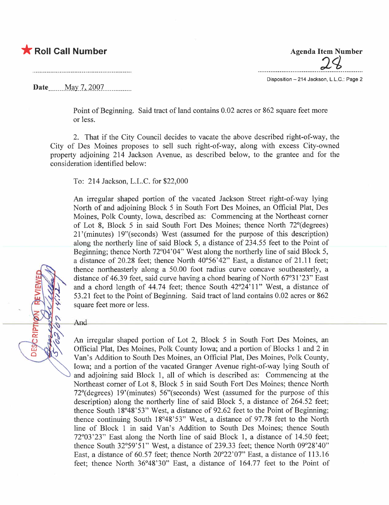## \* Roll Call Number Agenda Item Number

 $24$ 

Disposition - 214 Jackson, L.L.C.: Page 2

Date... \_ \_. .\_\_M.,:l .7-,.,l.QQ7. \_\_ \_ \_ \_ \_ mmm

Point of Beginning. Said tract of land contains 0.02 acres or 862 square feet more or less.

2. That if the City Council decides to vacate the above described right-of-way, the City of Des Moines proposes to sell such right-of-way, along with excess City-owned property adjoining 214 Jackson Avenue, as described below, to the grantee and for the consideration identified below:

To: 214 Jackson, L.L.C. for \$22,000

An irregular shaped portion of the vacated Jackson Street right-of-way lying North of and adjoining Block 5 in South Fort Des Moines, an Official Plat, Des Moines, Polk County, Iowa, described as: Commencing at the Northeast comer of Lot 8, Block 5 in said South Fort Des Moines; thence North 72°(degrees) 21 '(minutes) 19"(seconds) West (assumed for the purpose of this description) along the northerly line of said Block 5, a distance of 234.55 feet to the Point of Beginning; thence North 72°04'04" West along the northerly line of said Block 5, a distance of 20.28 feet; thence North 40°56'42" East, a distance of 21.11 feet; thence northeasterly along a 50.00 foot radius curve concave southeasterly, a distance of 46.39 feet, said curve having a chord bearing of North 67°31 '23" East and a chord length of 44.74 feet; thence South 42°24'11" West, a distance of 53.21 feet to the Point of Beginning. Said tract of land contains 0.02 acres or 862 square feet more or less.

And

**DESCRIP** 

An irregular shaped portion of Lot 2, Block 5 in South Fort Des Moines, an Official Plat, Des Moines, Polk County Iowa; and a portion of Blocks 1 and 2 in Van's Addition to South Des Moines, an Official Plat, Des Moines, Polk County, Iowa; and a portion of the vacated Granger Avenue right-of-way lying South of and adjoining said Block 1, all of which is described as: Commencing at the Northeast comer of Lot 8, Block 5 in said South Fort Des Moines; thence North 72°(degrees) 19'(minutes) 56"(seconds) West (assumed for the purpose of this description) along the northerly line of said Block 5, a distance of 264.52 feet; thence South 18°48' 53" West, a distance of 92.62 feet to the Point of Beginning; thence continuing South 18°48'53" West, a distance of 97.78 feet to the North line of Block 1 in said Van's Addition to South Des Moines; thence South 72°03'23" East along the North line of said Block 1, a distance of 14.50 feet; thence South 32°59'51" West, a distance of 239.33 feet; thence North 09°28'40" East, a distance of 60.57 feet; thence North 20°22'07" East, a distance of 113.16 feet; thence North 36°48'30" East, a distance of 164.77 feet to the Point of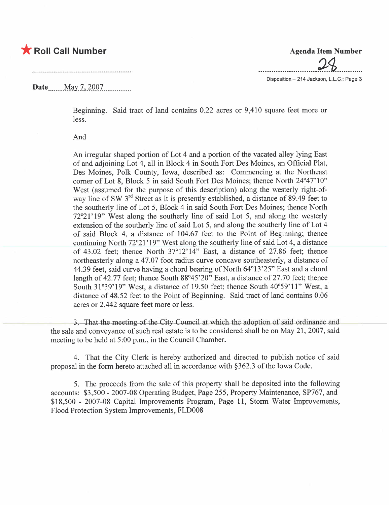## \* Roll Call Number Agenda Item Number

### Date. ....\_ \_\_\_M.i;y\_\_7.. \_,l.QQ7. \_ ..............

Beginning. Said tract of land contains 0.22 acres or 9,410 square feet more or less.

And

An irregular shaped portion of Lot 4 and a portion of the vacated alley lying East of and adjoining Lot 4, all in Block 4 in South Fort Des Moines, an Official Plat, Des Moines, Polk County, Iowa, described as: Commencing at the Northeast comer of Lot 8, Block 5 in said South Fort Des Moines; thence North 24°47' 10" West (assumed for the purpose of this description) along the westerly right-ofway line of SW 3<sup>rd</sup> Street as it is presently established, a distance of 89.49 feet to the southerly line of Lot 5, Block 4 in said South Fort Des Moines; thence North 72°21'19" West along the southerly line of said Lot 5, and along the westerly extension of the southerly line of said Lot 5, and along the southerly line of Lot 4 of said Block 4, a distance of 104.67 feet to the Point of Beginning; thence continuing North 72°21' 19" West along the southerly line of said Lot 4, a distance of 43.02 feet; thence North 37°12' 14" East, a distance of 27.86 feet; thence northeasterly along a 47.07 foot radius curve concave southeasterly, a distance of 44.39 feet, said curve having a chord bearing of North 64°13'25" East and a chord length of 42.77 feet; thence South 88°45'20" East, a distance of 27.70 feet; thence South 31°39'19" West, a distance of 19.50 feet; thence South 40°59'11" West, a distance of 48.52 feet to the Point of Beginning. Said tract of land contains 0.06 acres or 2,442 square feet more or less.

3. That the meeting of the City Council at which the adoption of said ordinance and the sale and conveyance of such real estate is to be considered shall be on May 21, 2007, said meeting to be held at 5:00 p.m., in the Council Chamber.

4. That the City Clerk is hereby authorized and directed to publish notice of said proposal in the form hereto attached all in accordance with §362.3 of the Iowa Code.

5. The proceeds from the sale of this property shall be deposited into the following accounts: \$3,500 - 2007-08 Operating Budget, Page 255, Property Maintenance, SP767, and \$18,500 - 2007-08 Capital Improvements Program, Page 11, Storm Water Improvements, Flood Protection System Improvements, FLD008

 $P$ 

Disposition - 214 Jackson, L.L.C.: Page 3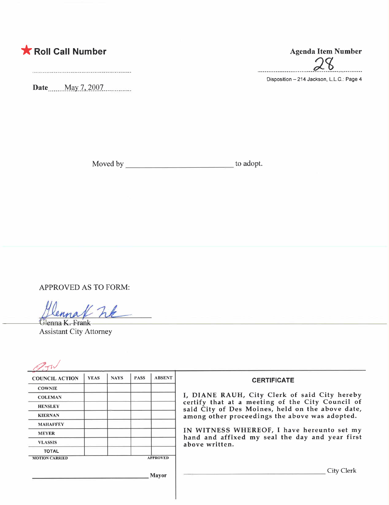

Date \_\_\_\_\_ May 7, 2007

 $\alpha$  0

Disposition - 214 Jackson, L.L.C.: Page 4

Moved by to adopt.

APPROVED AS TO FORM:

Glenna K. Frank Assistant City Attorney

| <b>COUNCIL ACTION</b> | <b>YEAS</b> | <b>NAYS</b> | <b>PASS</b> | <b>ABSENT</b>   | <b>CERTIFICATE</b>                                                                                                                                                                                                                                                                                                         |
|-----------------------|-------------|-------------|-------------|-----------------|----------------------------------------------------------------------------------------------------------------------------------------------------------------------------------------------------------------------------------------------------------------------------------------------------------------------------|
| <b>COWNIE</b>         |             |             |             |                 |                                                                                                                                                                                                                                                                                                                            |
| <b>COLEMAN</b>        |             |             |             |                 | I, DIANE RAUH, City Clerk of said City hereby<br>certify that at a meeting of the City Council of<br>said City of Des Moines, held on the above date,<br>among other proceedings the above was adopted.<br>IN WITNESS WHEREOF, I have hereunto set my<br>hand and affixed my seal the day and year first<br>above written. |
| <b>HENSLEY</b>        |             |             |             |                 |                                                                                                                                                                                                                                                                                                                            |
| <b>KIERNAN</b>        |             |             |             |                 |                                                                                                                                                                                                                                                                                                                            |
| <b>MAHAFFEY</b>       |             |             |             |                 |                                                                                                                                                                                                                                                                                                                            |
| <b>MEYER</b>          |             |             |             |                 |                                                                                                                                                                                                                                                                                                                            |
| <b>VLASSIS</b>        |             |             |             |                 |                                                                                                                                                                                                                                                                                                                            |
| <b>TOTAL</b>          |             |             |             |                 |                                                                                                                                                                                                                                                                                                                            |
| <b>MOTION CARRIED</b> |             |             |             | <b>APPROVED</b> |                                                                                                                                                                                                                                                                                                                            |
|                       |             |             |             | <b>Mayor</b>    | City Clerk                                                                                                                                                                                                                                                                                                                 |